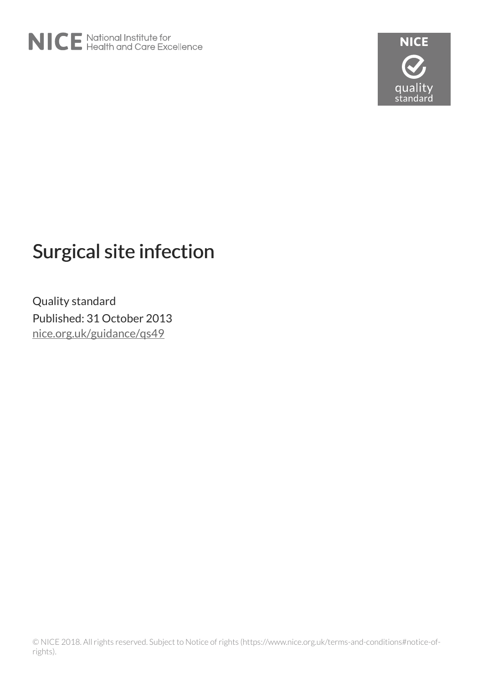

# Surgical site infection

Quality standard Published: 31 October 2013 [nice.org.uk/guidance/qs49](http://nice.org.uk/guidance/qs49)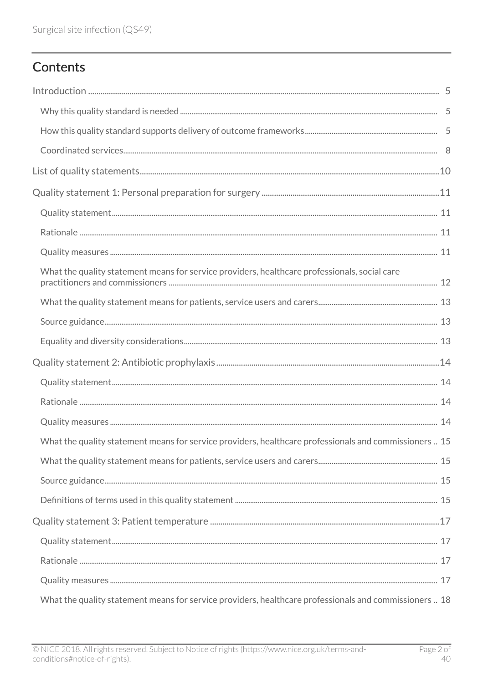# Contents

| What the quality statement means for service providers, healthcare professionals, social care          |  |
|--------------------------------------------------------------------------------------------------------|--|
|                                                                                                        |  |
|                                                                                                        |  |
|                                                                                                        |  |
|                                                                                                        |  |
|                                                                                                        |  |
|                                                                                                        |  |
|                                                                                                        |  |
| What the quality statement means for service providers, healthcare professionals and commissioners  15 |  |
|                                                                                                        |  |
|                                                                                                        |  |
|                                                                                                        |  |
|                                                                                                        |  |
|                                                                                                        |  |
|                                                                                                        |  |
|                                                                                                        |  |
| What the quality statement means for service providers, healthcare professionals and commissioners  18 |  |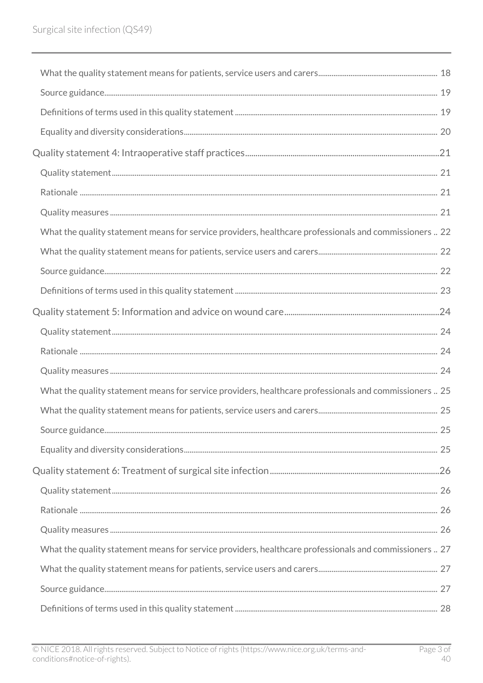| What the quality statement means for service providers, healthcare professionals and commissioners  22 |  |
|--------------------------------------------------------------------------------------------------------|--|
|                                                                                                        |  |
|                                                                                                        |  |
|                                                                                                        |  |
|                                                                                                        |  |
|                                                                                                        |  |
|                                                                                                        |  |
|                                                                                                        |  |
|                                                                                                        |  |
| What the quality statement means for service providers, healthcare professionals and commissioners  25 |  |
|                                                                                                        |  |
|                                                                                                        |  |
|                                                                                                        |  |
|                                                                                                        |  |
|                                                                                                        |  |
|                                                                                                        |  |
|                                                                                                        |  |
| What the quality statement means for service providers, healthcare professionals and commissioners  27 |  |
|                                                                                                        |  |
|                                                                                                        |  |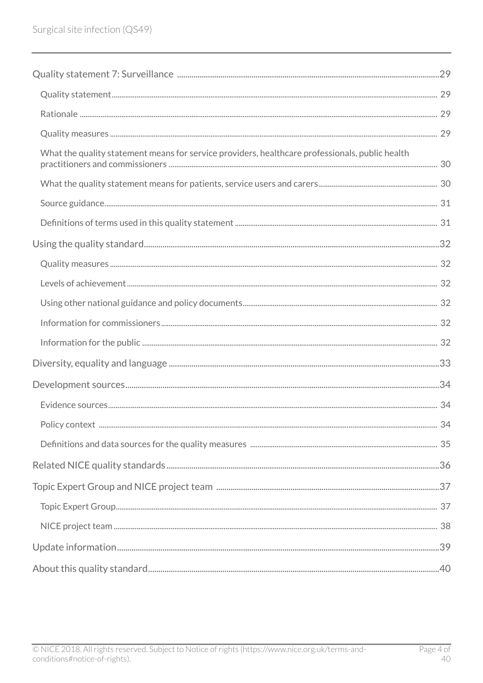| What the quality statement means for service providers, healthcare professionals, public health |  |
|-------------------------------------------------------------------------------------------------|--|
|                                                                                                 |  |
|                                                                                                 |  |
|                                                                                                 |  |
|                                                                                                 |  |
|                                                                                                 |  |
|                                                                                                 |  |
|                                                                                                 |  |
|                                                                                                 |  |
|                                                                                                 |  |
|                                                                                                 |  |
|                                                                                                 |  |
|                                                                                                 |  |
|                                                                                                 |  |
|                                                                                                 |  |
|                                                                                                 |  |
|                                                                                                 |  |
|                                                                                                 |  |
|                                                                                                 |  |
|                                                                                                 |  |
|                                                                                                 |  |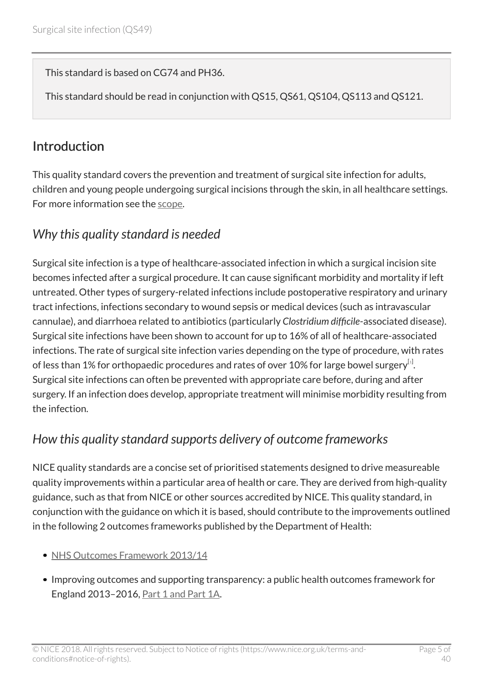This standard is based on CG74 and PH36.

This standard should be read in conjunction with QS15, QS61, QS104, QS113 and QS121.

### <span id="page-4-0"></span>**Introduction**

This quality standard covers the prevention and treatment of surgical site infection for adults, children and young people undergoing surgical incisions through the skin, in all healthcare settings. For more information see the [scope.](http://www.nice.org.uk/guidance/qs49/documents)

### <span id="page-4-1"></span>*Why this quality standard is needed*

Surgical site infection is a type of healthcare-associated infection in which a surgical incision site becomes infected after a surgical procedure. It can cause significant morbidity and mortality if left untreated. Other types of surgery-related infections include postoperative respiratory and urinary tract infections, infections secondary to wound sepsis or medical devices (such as intravascular cannulae), and diarrhoea related to antibiotics (particularly *Clostridium difficile*-associated disease). Surgical site infections have been shown to account for up to 16% of all of healthcare-associated infections. The rate of surgical site infection varies depending on the type of procedure, with rates of less than [1](#page-8-0)% for orthopaedic procedures and rates of over 10% for large bowel surgery $^{\left[ .\right] }$ . Surgical site infections can often be prevented with appropriate care before, during and after surgery. If an infection does develop, appropriate treatment will minimise morbidity resulting from the infection.

### <span id="page-4-3"></span><span id="page-4-2"></span>*How this quality standard supports delivery of outcome frameworks*

NICE quality standards are a concise set of prioritised statements designed to drive measureable quality improvements within a particular area of health or care. They are derived from high-quality guidance, such as that from NICE or other sources accredited by NICE. This quality standard, in conjunction with the guidance on which it is based, should contribute to the improvements outlined in the following 2 outcomes frameworks published by the Department of Health:

- [NHS Outcomes Framework 2013/14](https://www.gov.uk/government/publications/nhs-outcomes-framework-2013-to-2014)
- Improving outcomes and supporting transparency: a public health outcomes framework for England 2013–2016, [Part 1 and Part 1A.](https://www.gov.uk/government/publications/healthy-lives-healthy-people-improving-outcomes-and-supporting-transparency)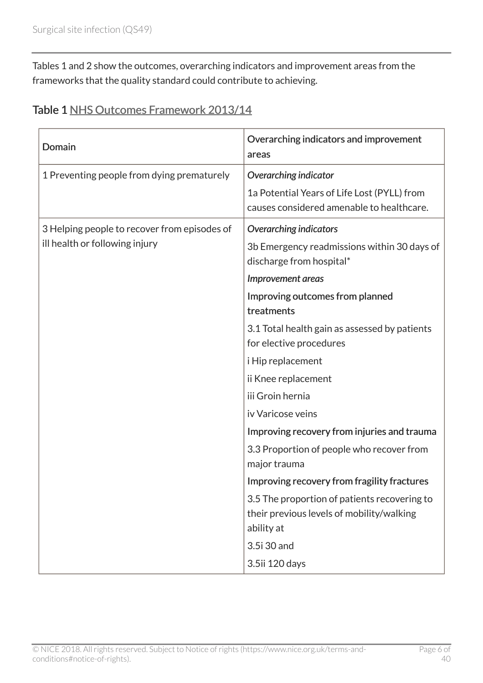Tables 1 and 2 show the outcomes, overarching indicators and improvement areas from the frameworks that the quality standard could contribute to achieving.

|  | Table 1 NHS Outcomes Framework 2013/14 |  |  |
|--|----------------------------------------|--|--|
|--|----------------------------------------|--|--|

| Domain                                       | Overarching indicators and improvement<br>areas                                          |
|----------------------------------------------|------------------------------------------------------------------------------------------|
| 1 Preventing people from dying prematurely   | Overarching indicator                                                                    |
|                                              | 1a Potential Years of Life Lost (PYLL) from<br>causes considered amenable to healthcare. |
| 3 Helping people to recover from episodes of | <b>Overarching indicators</b>                                                            |
| ill health or following injury               | 3b Emergency readmissions within 30 days of<br>discharge from hospital*                  |
|                                              | Improvement areas                                                                        |
|                                              | Improving outcomes from planned<br>treatments                                            |
|                                              | 3.1 Total health gain as assessed by patients                                            |
|                                              | for elective procedures                                                                  |
|                                              | i Hip replacement                                                                        |
|                                              | ii Knee replacement                                                                      |
|                                              | iii Groin hernia                                                                         |
|                                              | iv Varicose veins                                                                        |
|                                              | Improving recovery from injuries and trauma                                              |
|                                              | 3.3 Proportion of people who recover from                                                |
|                                              | major trauma                                                                             |
|                                              | Improving recovery from fragility fractures                                              |
|                                              | 3.5 The proportion of patients recovering to                                             |
|                                              | their previous levels of mobility/walking                                                |
|                                              | ability at                                                                               |
|                                              | 3.5i 30 and                                                                              |
|                                              | 3.5ii 120 days                                                                           |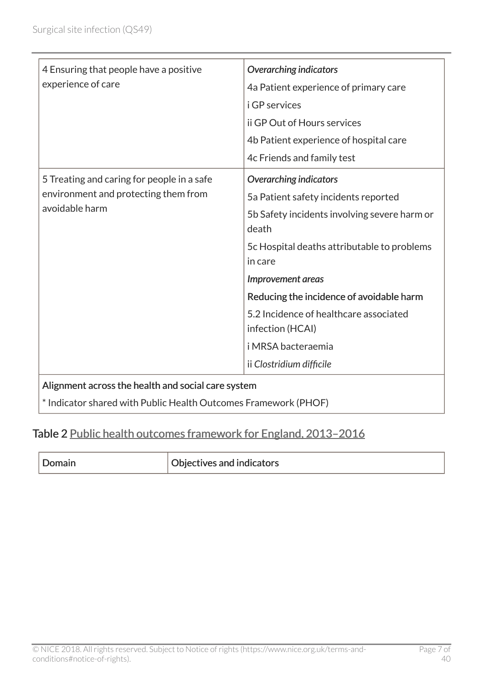| 4 Ensuring that people have a positive<br>experience of care                                                          | <b>Overarching indicators</b><br>4a Patient experience of primary care<br><i>i</i> GP services<br>ij GP Out of Hours services<br>4b Patient experience of hospital care<br>4c Friends and family test |
|-----------------------------------------------------------------------------------------------------------------------|-------------------------------------------------------------------------------------------------------------------------------------------------------------------------------------------------------|
| 5 Treating and caring for people in a safe<br>environment and protecting them from<br>avoidable harm                  | <b>Overarching indicators</b><br>5a Patient safety incidents reported<br>5b Safety incidents involving severe harm or<br>death<br>5c Hospital deaths attributable to problems<br>in care              |
|                                                                                                                       | Improvement areas<br>Reducing the incidence of avoidable harm<br>5.2 Incidence of healthcare associated<br>infection (HCAI)<br>i MRSA bacteraemia<br>ii Clostridium difficile                         |
| Alignment across the health and social care system<br>* Indicator shared with Public Health Outcomes Framework (PHOF) |                                                                                                                                                                                                       |

### Table 2 Public health outcomes framework for England, 2013-2016

| . <i>J</i> omain | Objectives and indicators |
|------------------|---------------------------|
|------------------|---------------------------|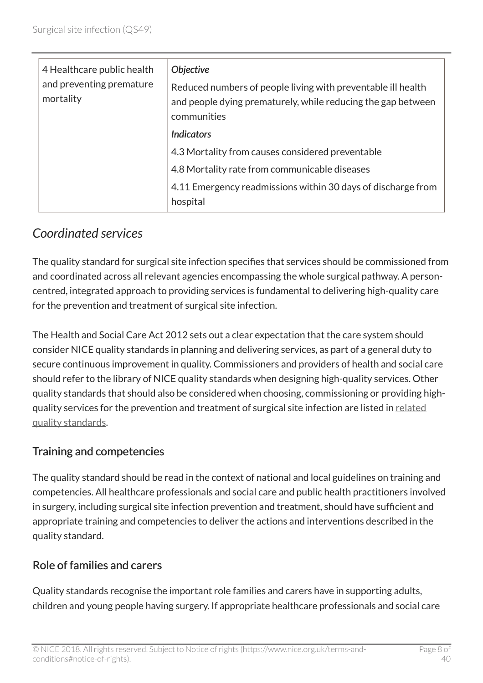| 4 Healthcare public health<br>and preventing premature<br>mortality | <b>Objective</b><br>Reduced numbers of people living with preventable ill health<br>and people dying prematurely, while reducing the gap between<br>communities |
|---------------------------------------------------------------------|-----------------------------------------------------------------------------------------------------------------------------------------------------------------|
|                                                                     | <b>Indicators</b>                                                                                                                                               |
|                                                                     | 4.3 Mortality from causes considered preventable                                                                                                                |
|                                                                     | 4.8 Mortality rate from communicable diseases                                                                                                                   |
|                                                                     | 4.11 Emergency readmissions within 30 days of discharge from<br>hospital                                                                                        |

# <span id="page-7-0"></span>*Coordinated services*

The quality standard for surgical site infection specifies that services should be commissioned from and coordinated across all relevant agencies encompassing the whole surgical pathway. A personcentred, integrated approach to providing services is fundamental to delivering high-quality care for the prevention and treatment of surgical site infection.

The Health and Social Care Act 2012 sets out a clear expectation that the care system should consider NICE quality standards in planning and delivering services, as part of a general duty to secure continuous improvement in quality. Commissioners and providers of health and social care should refer to the library of NICE quality standards when designing high-quality services. Other quality standards that should also be considered when choosing, commissioning or providing highquality services for the prevention and treatment of surgical site infection are listed in [related](http://live-publications.nice.org.uk/related-nice-quality-standards#related-nice-quality-standards) [quality standards.](http://live-publications.nice.org.uk/related-nice-quality-standards#related-nice-quality-standards)

#### Training and competencies

The quality standard should be read in the context of national and local guidelines on training and competencies. All healthcare professionals and social care and public health practitioners involved in surgery, including surgical site infection prevention and treatment, should have sufficient and appropriate training and competencies to deliver the actions and interventions described in the quality standard.

#### Role of families and carers

Quality standards recognise the important role families and carers have in supporting adults, children and young people having surgery. If appropriate healthcare professionals and social care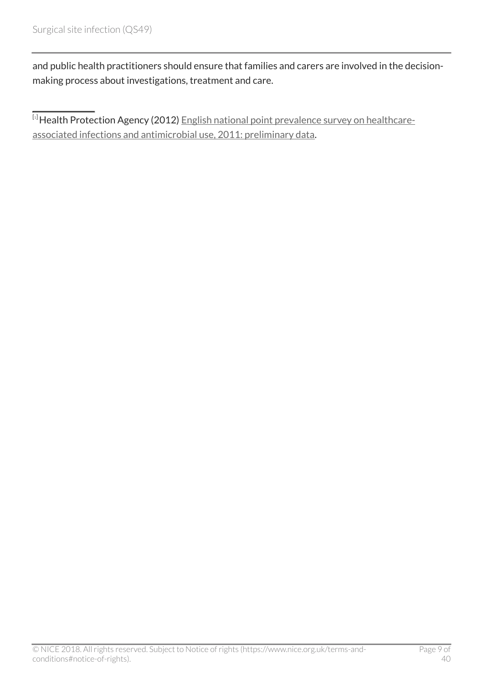and public health practitioners should ensure that families and carers are involved in the decisionmaking process about investigations, treatment and care.

<span id="page-8-0"></span>[[1](#page-4-3)] Health Protection Agency (2012) [English national point prevalence survey on healthcare](http://webarchive.nationalarchives.gov.uk/20140714084352/http:/www.hpa.org.uk/Publications/InfectiousDiseases/AntimicrobialAndHealthcareAssociatedInfections/1205HCAIEnglishPPSforhcaiandamu2011prelim/)[associated infections and antimicrobial use, 2011: preliminary data.](http://webarchive.nationalarchives.gov.uk/20140714084352/http:/www.hpa.org.uk/Publications/InfectiousDiseases/AntimicrobialAndHealthcareAssociatedInfections/1205HCAIEnglishPPSforhcaiandamu2011prelim/)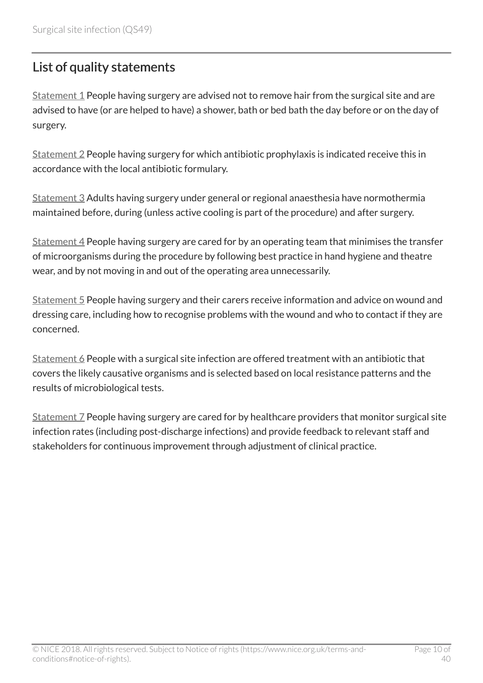# <span id="page-9-0"></span>List of quality statements

[Statement 1](http://live-publications.nice.org.uk/quality-statement-1-personal-preparation-for-surgery#quality-statement-1-personal-preparation-for-surgery) People having surgery are advised not to remove hair from the surgical site and are advised to have (or are helped to have) a shower, bath or bed bath the day before or on the day of surgery.

 $Statement 2$  People having surgery for which antibiotic prophylaxis is indicated receive this in accordance with the local antibiotic formulary.

[Statement 3](http://live-publications.nice.org.uk/quality-statement-3-patient-temperature#quality-statement-3-patient-temperature) Adults having surgery under general or regional anaesthesia have normothermia maintained before, during (unless active cooling is part of the procedure) and after surgery.

 $Statement 4$  People having surgery are cared for by an operating team that minimises the transfer of microorganisms during the procedure by following best practice in hand hygiene and theatre wear, and by not moving in and out of the operating area unnecessarily.

[Statement 5](http://live-publications.nice.org.uk/quality-statement-5-information-and-advice-on-wound-care#quality-statement-5-information-and-advice-on-wound-care) People having surgery and their carers receive information and advice on wound and dressing care, including how to recognise problems with the wound and who to contact if they are concerned.

Statement  $6$  People with a surgical site infection are offered treatment with an antibiotic that covers the likely causative organisms and is selected based on local resistance patterns and the results of microbiological tests.

[Statement 7](http://live-publications.nice.org.uk/quality-statement-7-surveillance#quality-statement-7-surveillance) People having surgery are cared for by healthcare providers that monitor surgical site infection rates (including post-discharge infections) and provide feedback to relevant staff and stakeholders for continuous improvement through adjustment of clinical practice.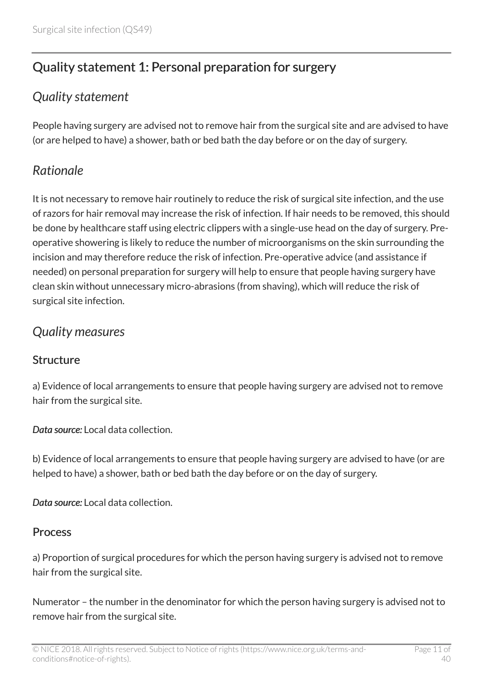# <span id="page-10-0"></span>Quality statement 1: Personal preparation for surgery

### <span id="page-10-1"></span>*Quality statement*

People having surgery are advised not to remove hair from the surgical site and are advised to have (or are helped to have) a shower, bath or bed bath the day before or on the day of surgery.

# <span id="page-10-2"></span>*Rationale*

It is not necessary to remove hair routinely to reduce the risk of surgical site infection, and the use of razors for hair removal may increase the risk of infection. If hair needs to be removed, this should be done by healthcare staff using electric clippers with a single-use head on the day of surgery. Preoperative showering is likely to reduce the number of microorganisms on the skin surrounding the incision and may therefore reduce the risk of infection. Pre-operative advice (and assistance if needed) on personal preparation for surgery will help to ensure that people having surgery have clean skin without unnecessary micro-abrasions (from shaving), which will reduce the risk of surgical site infection.

### <span id="page-10-3"></span>*Quality measures*

#### **Structure**

a) Evidence of local arrangements to ensure that people having surgery are advised not to remove hair from the surgical site.

*Data source:* Local data collection.

b) Evidence of local arrangements to ensure that people having surgery are advised to have (or are helped to have) a shower, bath or bed bath the day before or on the day of surgery.

*Data source:* Local data collection.

#### Process

a) Proportion of surgical procedures for which the person having surgery is advised not to remove hair from the surgical site.

Numerator – the number in the denominator for which the person having surgery is advised not to remove hair from the surgical site.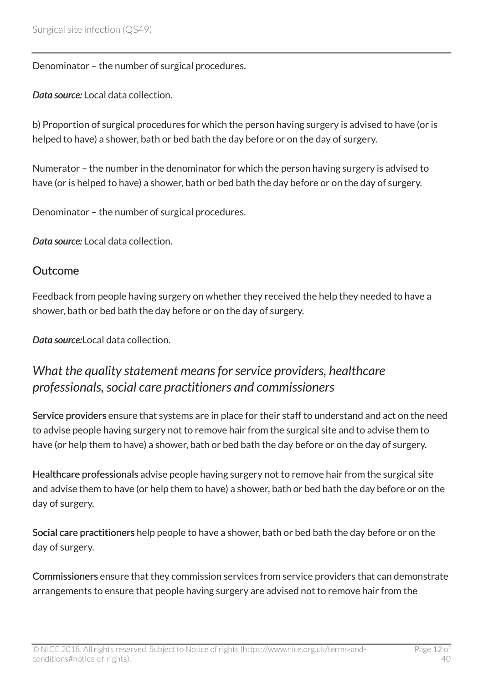Denominator – the number of surgical procedures.

*Data source:* Local data collection.

b) Proportion of surgical procedures for which the person having surgery is advised to have (or is helped to have) a shower, bath or bed bath the day before or on the day of surgery.

Numerator – the number in the denominator for which the person having surgery is advised to have (or is helped to have) a shower, bath or bed bath the day before or on the day of surgery.

Denominator – the number of surgical procedures.

*Data source:* Local data collection.

#### Outcome

Feedback from people having surgery on whether they received the help they needed to have a shower, bath or bed bath the day before or on the day of surgery.

*Data source:*Local data collection.

### <span id="page-11-0"></span>*What the quality statement means for service providers, healthcare professionals, social care practitioners and commissioners*

Service providers ensure that systems are in place for their staff to understand and act on the need to advise people having surgery not to remove hair from the surgical site and to advise them to have (or help them to have) a shower, bath or bed bath the day before or on the day of surgery.

Healthcare professionals advise people having surgery not to remove hair from the surgical site and advise them to have (or help them to have) a shower, bath or bed bath the day before or on the day of surgery.

Social care practitioners help people to have a shower, bath or bed bath the day before or on the day of surgery.

Commissioners ensure that they commission services from service providers that can demonstrate arrangements to ensure that people having surgery are advised not to remove hair from the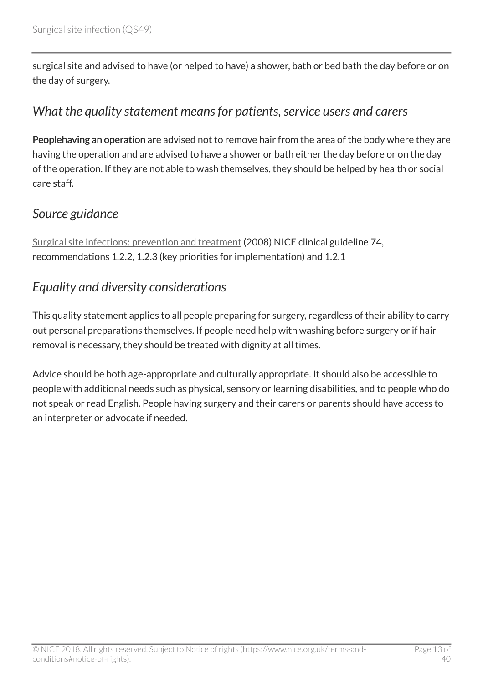surgical site and advised to have (or helped to have) a shower, bath or bed bath the day before or on the day of surgery.

### <span id="page-12-0"></span>*What the quality statement means for patients, service users and carers*

Peoplehaving an operation are advised not to remove hair from the area of the body where they are having the operation and are advised to have a shower or bath either the day before or on the day of the operation. If they are not able to wash themselves, they should be helped by health or social care staff.

### <span id="page-12-1"></span>*Source guidance*

[Surgical site infections: prevention and treatment](http://www.nice.org.uk/guidance/cg74) (2008) NICE clinical guideline 74, recommendations 1.2.2, 1.2.3 (key priorities for implementation) and 1.2.1

### <span id="page-12-2"></span>*Equality and diversity considerations*

This quality statement applies to all people preparing for surgery, regardless of their ability to carry out personal preparations themselves. If people need help with washing before surgery or if hair removal is necessary, they should be treated with dignity at all times.

Advice should be both age-appropriate and culturally appropriate. It should also be accessible to people with additional needs such as physical, sensory or learning disabilities, and to people who do not speak or read English. People having surgery and their carers or parents should have access to an interpreter or advocate if needed.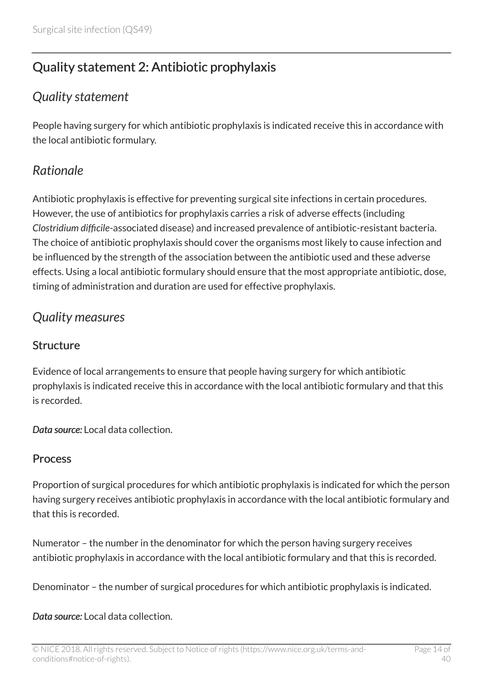# <span id="page-13-0"></span>Quality statement 2: Antibiotic prophylaxis

### <span id="page-13-1"></span>*Quality statement*

People having surgery for which antibiotic prophylaxis is indicated receive this in accordance with the local antibiotic formulary.

# <span id="page-13-2"></span>*Rationale*

Antibiotic prophylaxis is effective for preventing surgical site infections in certain procedures. However, the use of antibiotics for prophylaxis carries a risk of adverse effects (including *Clostridium difficile*-associated disease) and increased prevalence of antibiotic-resistant bacteria. The choice of antibiotic prophylaxis should cover the organisms most likely to cause infection and be influenced by the strength of the association between the antibiotic used and these adverse effects. Using a local antibiotic formulary should ensure that the most appropriate antibiotic, dose, timing of administration and duration are used for effective prophylaxis.

### <span id="page-13-3"></span>*Quality measures*

#### **Structure**

Evidence of local arrangements to ensure that people having surgery for which antibiotic prophylaxis is indicated receive this in accordance with the local antibiotic formulary and that this is recorded.

*Data source:* Local data collection.

#### Process

Proportion of surgical procedures for which antibiotic prophylaxis is indicated for which the person having surgery receives antibiotic prophylaxis in accordance with the local antibiotic formulary and that this is recorded.

Numerator – the number in the denominator for which the person having surgery receives antibiotic prophylaxis in accordance with the local antibiotic formulary and that this is recorded.

Denominator – the number of surgical procedures for which antibiotic prophylaxis is indicated.

#### *Data source:* Local data collection.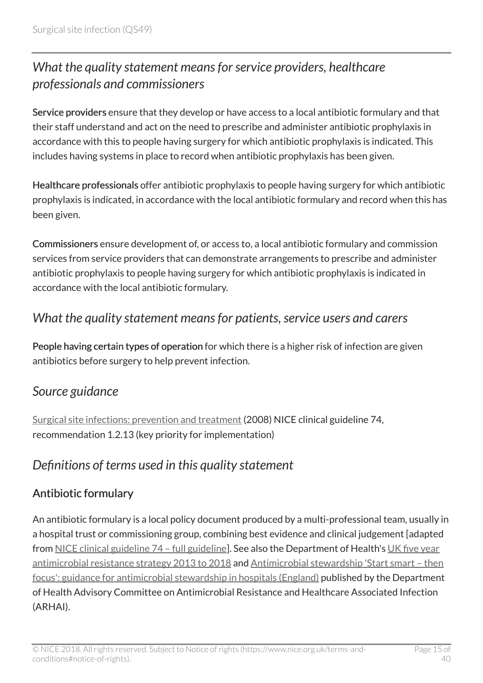# <span id="page-14-0"></span>*What the quality statement means for service providers, healthcare professionals and commissioners*

Service providers ensure that they develop or have access to a local antibiotic formulary and that their staff understand and act on the need to prescribe and administer antibiotic prophylaxis in accordance with this to people having surgery for which antibiotic prophylaxis is indicated. This includes having systems in place to record when antibiotic prophylaxis has been given.

Healthcare professionals offer antibiotic prophylaxis to people having surgery for which antibiotic prophylaxis is indicated, in accordance with the local antibiotic formulary and record when this has been given.

Commissioners ensure development of, or access to, a local antibiotic formulary and commission services from service providers that can demonstrate arrangements to prescribe and administer antibiotic prophylaxis to people having surgery for which antibiotic prophylaxis is indicated in accordance with the local antibiotic formulary.

### <span id="page-14-1"></span>*What the quality statement means for patients, service users and carers*

People having certain types of operation for which there is a higher risk of infection are given antibiotics before surgery to help prevent infection.

### <span id="page-14-2"></span>*Source guidance*

[Surgical site infections: prevention and treatment](http://www.nice.org.uk/guidance/cg74) (2008) NICE clinical guideline 74, recommendation 1.2.13 (key priority for implementation)

### <span id="page-14-3"></span>*Definitions of terms used in this quality statement*

### Antibiotic formulary

An antibiotic formulary is a local policy document produced by a multi-professional team, usually in a hospital trust or commissioning group, combining best evidence and clinical judgement [adapted from [NICE clinical guideline 74 – full guideline](http://www.nice.org.uk/guidance/CG74/Evidence)]. See also the Department of Health's [UK five year](https://www.gov.uk/government/publications/uk-5-year-antimicrobial-resistance-strategy-2013-to-2018) [antimicrobial resistance strategy 2013 to 2018](https://www.gov.uk/government/publications/uk-5-year-antimicrobial-resistance-strategy-2013-to-2018) and [Antimicrobial stewardship 'Start smart – then](https://www.gov.uk/government/publications/antimicrobial-stewardship-start-smart-then-focus) [focus': guidance for antimicrobial stewardship in hospitals \(England\)](https://www.gov.uk/government/publications/antimicrobial-stewardship-start-smart-then-focus) published by the Department of Health Advisory Committee on Antimicrobial Resistance and Healthcare Associated Infection (ARHAI).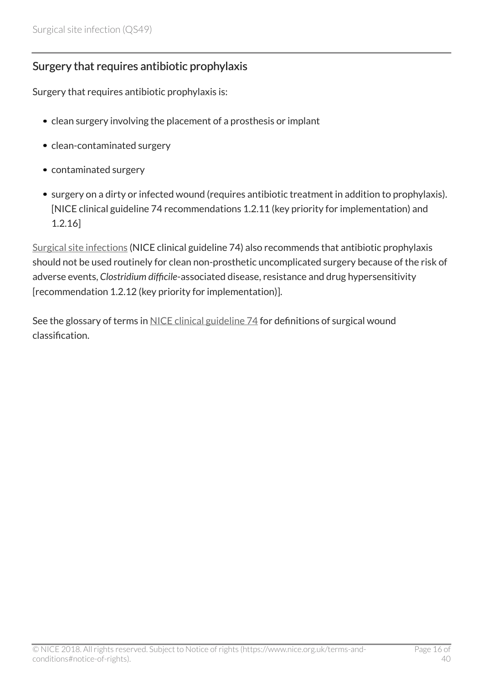#### Surgery that requires antibiotic prophylaxis

Surgery that requires antibiotic prophylaxis is:

- clean surgery involving the placement of a prosthesis or implant
- clean-contaminated surgery
- contaminated surgery
- surgery on a dirty or infected wound (requires antibiotic treatment in addition to prophylaxis). [NICE clinical guideline 74 recommendations 1.2.11 (key priority for implementation) and 1.2.16]

[Surgical site infections](http://www.nice.org.uk/guidance/cg74) (NICE clinical guideline 74) also recommends that antibiotic prophylaxis should not be used routinely for clean non-prosthetic uncomplicated surgery because of the risk of adverse events, *Clostridium difficile*-associated disease, resistance and drug hypersensitivity [recommendation 1.2.12 (key priority for implementation)].

See the glossary of terms in [NICE clinical guideline 74](https://www.nice.org.uk/guidance/cg74/chapter/1-Guidance#terms-used-in-this-guideline) for definitions of surgical wound classification.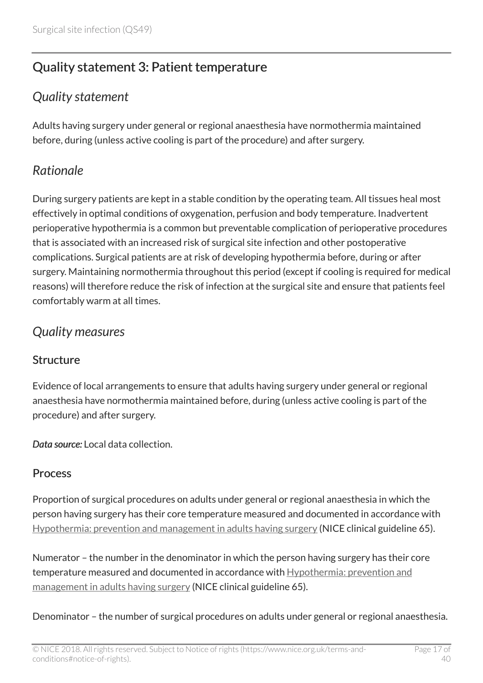# <span id="page-16-0"></span>Quality statement 3: Patient temperature

### <span id="page-16-1"></span>*Quality statement*

Adults having surgery under general or regional anaesthesia have normothermia maintained before, during (unless active cooling is part of the procedure) and after surgery.

# <span id="page-16-2"></span>*Rationale*

During surgery patients are kept in a stable condition by the operating team. All tissues heal most effectively in optimal conditions of oxygenation, perfusion and body temperature. Inadvertent perioperative hypothermia is a common but preventable complication of perioperative procedures that is associated with an increased risk of surgical site infection and other postoperative complications. Surgical patients are at risk of developing hypothermia before, during or after surgery. Maintaining normothermia throughout this period (except if cooling is required for medical reasons) will therefore reduce the risk of infection at the surgical site and ensure that patients feel comfortably warm at all times.

### <span id="page-16-3"></span>*Quality measures*

#### **Structure**

Evidence of local arrangements to ensure that adults having surgery under general or regional anaesthesia have normothermia maintained before, during (unless active cooling is part of the procedure) and after surgery.

*Data source:* Local data collection.

#### Process

Proportion of surgical procedures on adults under general or regional anaesthesia in which the person having surgery has their core temperature measured and documented in accordance with [Hypothermia: prevention and management in adults having surgery](http://www.nice.org.uk/guidance/cg65) (NICE clinical guideline 65).

Numerator – the number in the denominator in which the person having surgery has their core temperature measured and documented in accordance with [Hypothermia: prevention and](http://www.nice.org.uk/guidance/cg65) [management in adults having surgery](http://www.nice.org.uk/guidance/cg65) (NICE clinical guideline 65).

Denominator – the number of surgical procedures on adults under general or regional anaesthesia.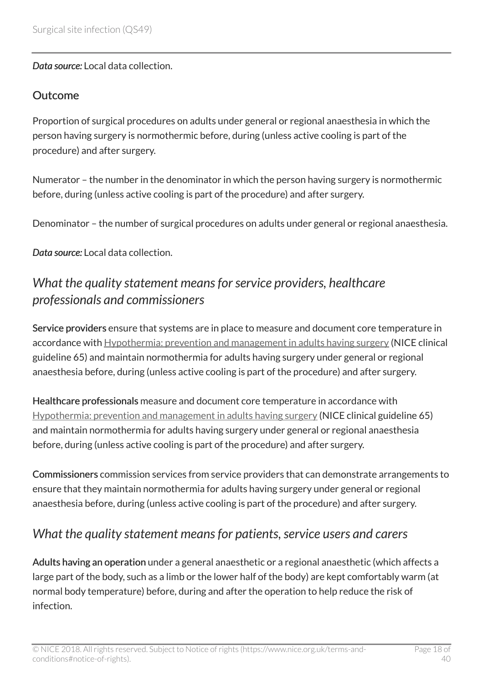*Data source:* Local data collection.

#### **Outcome**

Proportion of surgical procedures on adults under general or regional anaesthesia in which the person having surgery is normothermic before, during (unless active cooling is part of the procedure) and after surgery.

Numerator – the number in the denominator in which the person having surgery is normothermic before, during (unless active cooling is part of the procedure) and after surgery.

Denominator – the number of surgical procedures on adults under general or regional anaesthesia.

*Data source:* Local data collection.

### <span id="page-17-0"></span>*What the quality statement means for service providers, healthcare professionals and commissioners*

Service providers ensure that systems are in place to measure and document core temperature in accordance with [Hypothermia: prevention and management in adults having surgery](http://www.nice.org.uk/guidance/cg65) (NICE clinical guideline 65) and maintain normothermia for adults having surgery under general or regional anaesthesia before, during (unless active cooling is part of the procedure) and after surgery.

Healthcare professionals measure and document core temperature in accordance with [Hypothermia: prevention and management in adults having surgery](http://www.nice.org.uk/guidance/cg65) (NICE clinical guideline 65) and maintain normothermia for adults having surgery under general or regional anaesthesia before, during (unless active cooling is part of the procedure) and after surgery.

Commissioners commission services from service providers that can demonstrate arrangements to ensure that they maintain normothermia for adults having surgery under general or regional anaesthesia before, during (unless active cooling is part of the procedure) and after surgery.

# <span id="page-17-1"></span>*What the quality statement means for patients, service users and carers*

Adults having an operation under a general anaesthetic or a regional anaesthetic (which affects a large part of the body, such as a limb or the lower half of the body) are kept comfortably warm (at normal body temperature) before, during and after the operation to help reduce the risk of infection.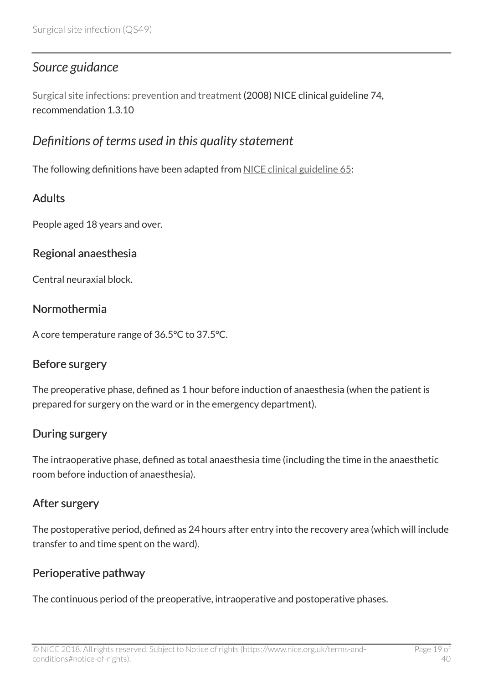### <span id="page-18-0"></span>*Source guidance*

[Surgical site infections: prevention and treatment](http://www.nice.org.uk/guidance/cg74) (2008) NICE clinical guideline 74, recommendation 1.3.10

### <span id="page-18-1"></span>*Definitions of terms used in this quality statement*

The following definitions have been adapted from [NICE clinical guideline 65:](http://www.nice.org.uk/guidance/cg65)

### **Adults**

People aged 18 years and over.

#### Regional anaesthesia

Central neuraxial block.

#### Normothermia

A core temperature range of 36.5°C to 37.5°C.

#### Before surgery

The preoperative phase, defined as 1 hour before induction of anaesthesia (when the patient is prepared for surgery on the ward or in the emergency department).

#### During surgery

The intraoperative phase, defined as total anaesthesia time (including the time in the anaesthetic room before induction of anaesthesia).

#### After surgery

The postoperative period, defined as 24 hours after entry into the recovery area (which will include transfer to and time spent on the ward).

#### Perioperative pathway

The continuous period of the preoperative, intraoperative and postoperative phases.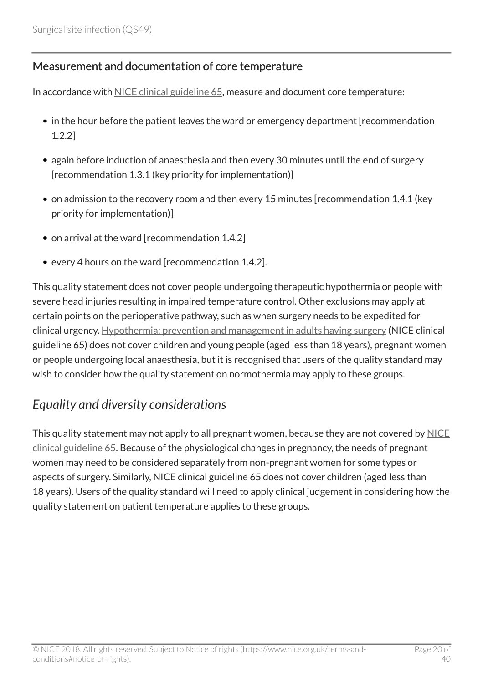#### Measurement and documentation of core temperature

In accordance with [NICE clinical guideline 65,](http://www.nice.org.uk/guidance/cg65) measure and document core temperature:

- in the hour before the patient leaves the ward or emergency department [recommendation 1.2.2]
- again before induction of anaesthesia and then every 30 minutes until the end of surgery [recommendation 1.3.1 (key priority for implementation)]
- on admission to the recovery room and then every 15 minutes [recommendation 1.4.1 (key priority for implementation)]
- on arrival at the ward [recommendation 1.4.2]
- every 4 hours on the ward [recommendation 1.4.2].

This quality statement does not cover people undergoing therapeutic hypothermia or people with severe head injuries resulting in impaired temperature control. Other exclusions may apply at certain points on the perioperative pathway, such as when surgery needs to be expedited for clinical urgency. [Hypothermia: prevention and management in adults having surgery](http://www.nice.org.uk/guidance/cg65) (NICE clinical guideline 65) does not cover children and young people (aged less than 18 years), pregnant women or people undergoing local anaesthesia, but it is recognised that users of the quality standard may wish to consider how the quality statement on normothermia may apply to these groups.

# <span id="page-19-0"></span>*Equality and diversity considerations*

This quality statement may not apply to all pregnant women, because they are not covered by [NICE](http://www.nice.org.uk/guidance/cg65) [clinical guideline 65.](http://www.nice.org.uk/guidance/cg65) Because of the physiological changes in pregnancy, the needs of pregnant women may need to be considered separately from non-pregnant women for some types or aspects of surgery. Similarly, NICE clinical guideline 65 does not cover children (aged less than 18 years). Users of the quality standard will need to apply clinical judgement in considering how the quality statement on patient temperature applies to these groups.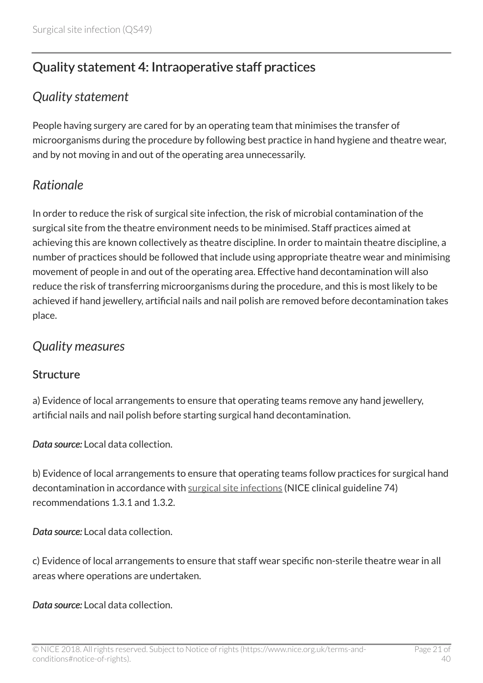# <span id="page-20-0"></span>Quality statement 4: Intraoperative staff practices

### <span id="page-20-1"></span>*Quality statement*

People having surgery are cared for by an operating team that minimises the transfer of microorganisms during the procedure by following best practice in hand hygiene and theatre wear, and by not moving in and out of the operating area unnecessarily.

# <span id="page-20-2"></span>*Rationale*

In order to reduce the risk of surgical site infection, the risk of microbial contamination of the surgical site from the theatre environment needs to be minimised. Staff practices aimed at achieving this are known collectively as theatre discipline. In order to maintain theatre discipline, a number of practices should be followed that include using appropriate theatre wear and minimising movement of people in and out of the operating area. Effective hand decontamination will also reduce the risk of transferring microorganisms during the procedure, and this is most likely to be achieved if hand jewellery, artificial nails and nail polish are removed before decontamination takes place.

### <span id="page-20-3"></span>*Quality measures*

#### **Structure**

a) Evidence of local arrangements to ensure that operating teams remove any hand jewellery, artificial nails and nail polish before starting surgical hand decontamination.

*Data source:* Local data collection.

b) Evidence of local arrangements to ensure that operating teams follow practices for surgical hand decontamination in accordance with [surgical site infections](http://www.nice.org.uk/guidance/cg74) (NICE clinical guideline 74) recommendations 1.3.1 and 1.3.2.

*Data source:* Local data collection.

c) Evidence of local arrangements to ensure that staff wear specific non-sterile theatre wear in all areas where operations are undertaken.

*Data source:* Local data collection.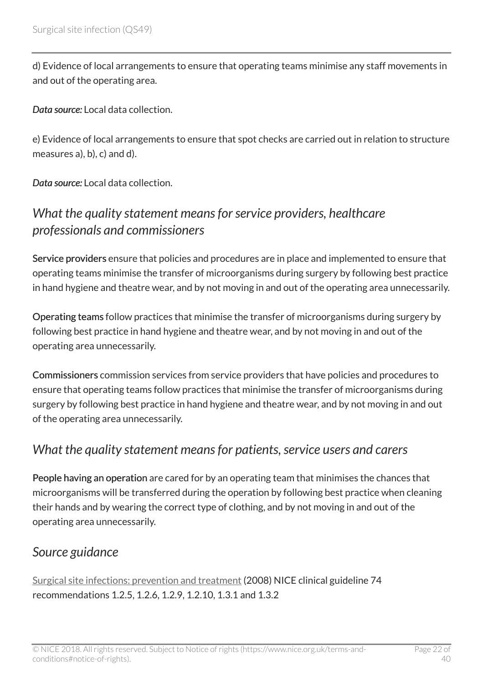d) Evidence of local arrangements to ensure that operating teams minimise any staff movements in and out of the operating area.

*Data source:* Local data collection.

e) Evidence of local arrangements to ensure that spot checks are carried out in relation to structure measures a), b), c) and d).

*Data source:* Local data collection.

# <span id="page-21-0"></span>*What the quality statement means for service providers, healthcare professionals and commissioners*

Service providers ensure that policies and procedures are in place and implemented to ensure that operating teams minimise the transfer of microorganisms during surgery by following best practice in hand hygiene and theatre wear, and by not moving in and out of the operating area unnecessarily.

Operating teams follow practices that minimise the transfer of microorganisms during surgery by following best practice in hand hygiene and theatre wear, and by not moving in and out of the operating area unnecessarily.

Commissioners commission services from service providers that have policies and procedures to ensure that operating teams follow practices that minimise the transfer of microorganisms during surgery by following best practice in hand hygiene and theatre wear, and by not moving in and out of the operating area unnecessarily.

### <span id="page-21-1"></span>*What the quality statement means for patients, service users and carers*

People having an operation are cared for by an operating team that minimises the chances that microorganisms will be transferred during the operation by following best practice when cleaning their hands and by wearing the correct type of clothing, and by not moving in and out of the operating area unnecessarily.

### <span id="page-21-2"></span>*Source guidance*

[Surgical site infections: prevention and treatment](http://www.nice.org.uk/guidance/cg74) (2008) NICE clinical guideline 74 recommendations 1.2.5, 1.2.6, 1.2.9, 1.2.10, 1.3.1 and 1.3.2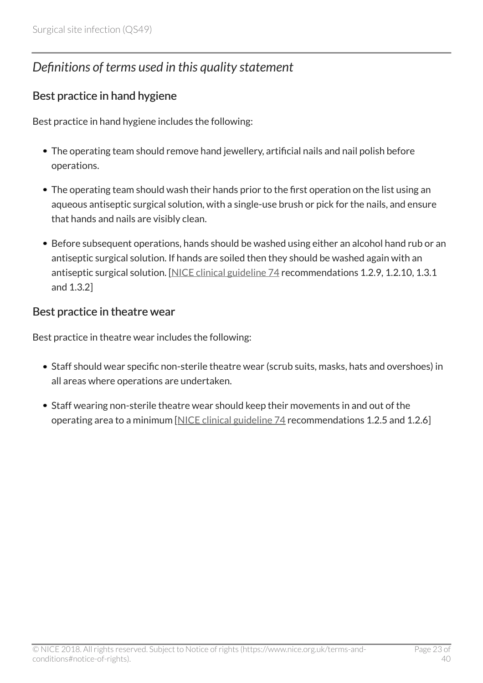# <span id="page-22-0"></span>*Definitions of terms used in this quality statement*

#### Best practice in hand hygiene

Best practice in hand hygiene includes the following:

- The operating team should remove hand jewellery, artificial nails and nail polish before operations.
- The operating team should wash their hands prior to the first operation on the list using an aqueous antiseptic surgical solution, with a single-use brush or pick for the nails, and ensure that hands and nails are visibly clean.
- Before subsequent operations, hands should be washed using either an alcohol hand rub or an antiseptic surgical solution. If hands are soiled then they should be washed again with an antiseptic surgical solution. [\[NICE clinical guideline 74](http://www.nice.org.uk/guidance/cg74) recommendations 1.2.9, 1.2.10, 1.3.1 and 1.3.2]

#### Best practice in theatre wear

Best practice in theatre wear includes the following:

- Staff should wear specific non-sterile theatre wear (scrub suits, masks, hats and overshoes) in all areas where operations are undertaken.
- Staff wearing non-sterile theatre wear should keep their movements in and out of the operating area to a minimum [[NICE clinical guideline 74](http://www.nice.org.uk/guidance/cg74) recommendations 1.2.5 and 1.2.6]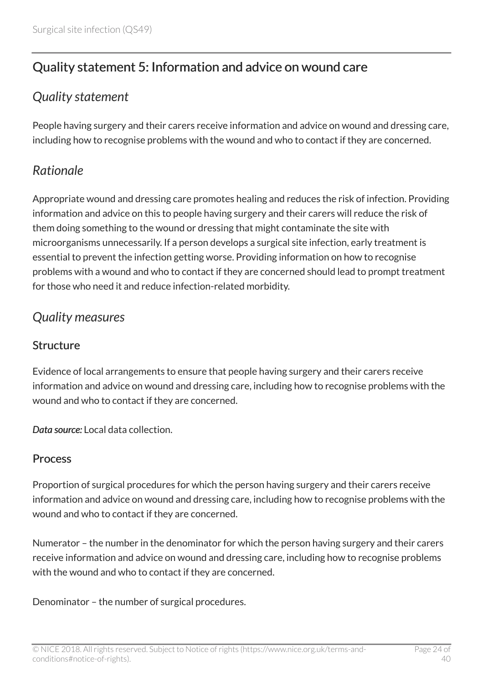# <span id="page-23-0"></span>Quality statement 5: Information and advice on wound care

### <span id="page-23-1"></span>*Quality statement*

People having surgery and their carers receive information and advice on wound and dressing care, including how to recognise problems with the wound and who to contact if they are concerned.

### <span id="page-23-2"></span>*Rationale*

Appropriate wound and dressing care promotes healing and reduces the risk of infection. Providing information and advice on this to people having surgery and their carers will reduce the risk of them doing something to the wound or dressing that might contaminate the site with microorganisms unnecessarily. If a person develops a surgical site infection, early treatment is essential to prevent the infection getting worse. Providing information on how to recognise problems with a wound and who to contact if they are concerned should lead to prompt treatment for those who need it and reduce infection-related morbidity.

### <span id="page-23-3"></span>*Quality measures*

#### **Structure**

Evidence of local arrangements to ensure that people having surgery and their carers receive information and advice on wound and dressing care, including how to recognise problems with the wound and who to contact if they are concerned.

*Data source:* Local data collection.

#### Process

Proportion of surgical procedures for which the person having surgery and their carers receive information and advice on wound and dressing care, including how to recognise problems with the wound and who to contact if they are concerned.

Numerator – the number in the denominator for which the person having surgery and their carers receive information and advice on wound and dressing care, including how to recognise problems with the wound and who to contact if they are concerned.

Denominator – the number of surgical procedures.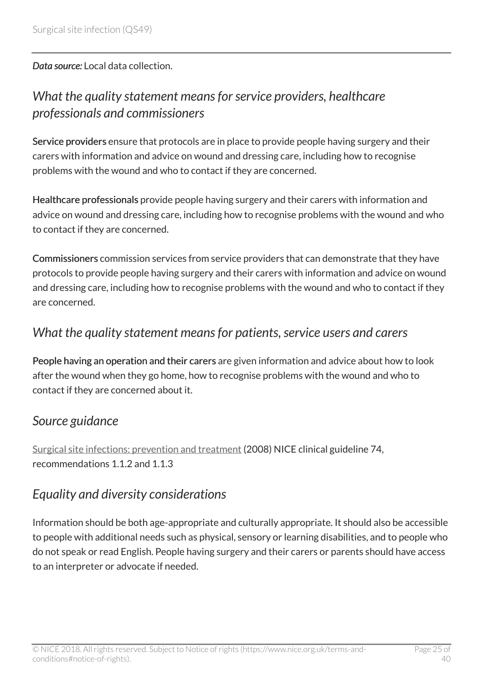*Data source:* Local data collection.

### <span id="page-24-0"></span>*What the quality statement means for service providers, healthcare professionals and commissioners*

Service providers ensure that protocols are in place to provide people having surgery and their carers with information and advice on wound and dressing care, including how to recognise problems with the wound and who to contact if they are concerned.

Healthcare professionals provide people having surgery and their carers with information and advice on wound and dressing care, including how to recognise problems with the wound and who to contact if they are concerned.

Commissioners commission services from service providers that can demonstrate that they have protocols to provide people having surgery and their carers with information and advice on wound and dressing care, including how to recognise problems with the wound and who to contact if they are concerned.

### <span id="page-24-1"></span>*What the quality statement means for patients, service users and carers*

People having an operation and their carers are given information and advice about how to look after the wound when they go home, how to recognise problems with the wound and who to contact if they are concerned about it.

### <span id="page-24-2"></span>*Source guidance*

[Surgical site infections: prevention and treatment](http://www.nice.org.uk/guidance/cg74) (2008) NICE clinical guideline 74, recommendations 1.1.2 and 1.1.3

### <span id="page-24-3"></span>*Equality and diversity considerations*

Information should be both age-appropriate and culturally appropriate. It should also be accessible to people with additional needs such as physical, sensory or learning disabilities, and to people who do not speak or read English. People having surgery and their carers or parents should have access to an interpreter or advocate if needed.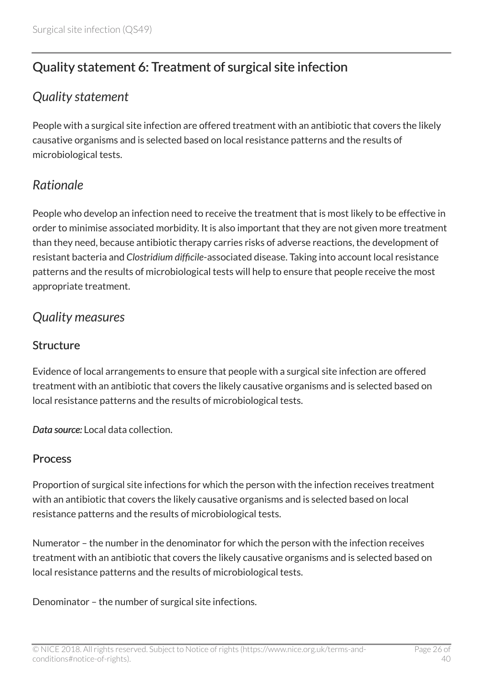# <span id="page-25-0"></span>Quality statement 6: Treatment of surgical site infection

### <span id="page-25-1"></span>*Quality statement*

People with a surgical site infection are offered treatment with an antibiotic that covers the likely causative organisms and is selected based on local resistance patterns and the results of microbiological tests.

### <span id="page-25-2"></span>*Rationale*

People who develop an infection need to receive the treatment that is most likely to be effective in order to minimise associated morbidity. It is also important that they are not given more treatment than they need, because antibiotic therapy carries risks of adverse reactions, the development of resistant bacteria and *Clostridium difficile*-associated disease. Taking into account local resistance patterns and the results of microbiological tests will help to ensure that people receive the most appropriate treatment.

### <span id="page-25-3"></span>*Quality measures*

#### **Structure**

Evidence of local arrangements to ensure that people with a surgical site infection are offered treatment with an antibiotic that covers the likely causative organisms and is selected based on local resistance patterns and the results of microbiological tests.

*Data source:* Local data collection.

#### Process

Proportion of surgical site infections for which the person with the infection receives treatment with an antibiotic that covers the likely causative organisms and is selected based on local resistance patterns and the results of microbiological tests.

Numerator – the number in the denominator for which the person with the infection receives treatment with an antibiotic that covers the likely causative organisms and is selected based on local resistance patterns and the results of microbiological tests.

Denominator – the number of surgical site infections.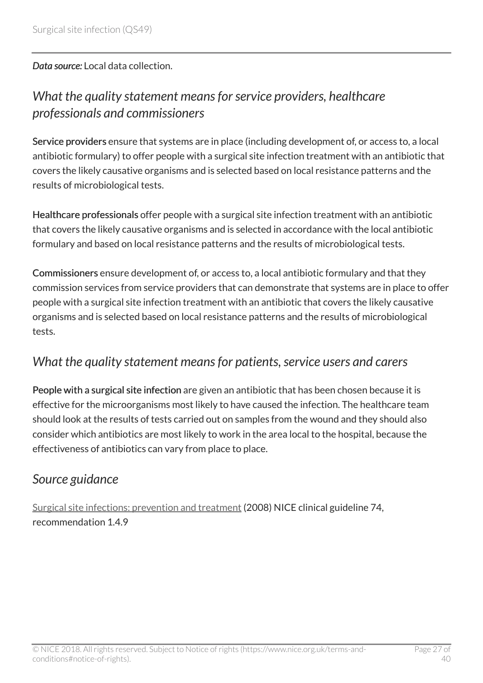*Data source:* Local data collection.

### <span id="page-26-0"></span>*What the quality statement means for service providers, healthcare professionals and commissioners*

Service providers ensure that systems are in place (including development of, or access to, a local antibiotic formulary) to offer people with a surgical site infection treatment with an antibiotic that covers the likely causative organisms and is selected based on local resistance patterns and the results of microbiological tests.

Healthcare professionals offer people with a surgical site infection treatment with an antibiotic that covers the likely causative organisms and is selected in accordance with the local antibiotic formulary and based on local resistance patterns and the results of microbiological tests.

Commissioners ensure development of, or access to, a local antibiotic formulary and that they commission services from service providers that can demonstrate that systems are in place to offer people with a surgical site infection treatment with an antibiotic that covers the likely causative organisms and is selected based on local resistance patterns and the results of microbiological tests.

### <span id="page-26-1"></span>*What the quality statement means for patients, service users and carers*

People with a surgical site infection are given an antibiotic that has been chosen because it is effective for the microorganisms most likely to have caused the infection. The healthcare team should look at the results of tests carried out on samples from the wound and they should also consider which antibiotics are most likely to work in the area local to the hospital, because the effectiveness of antibiotics can vary from place to place.

### <span id="page-26-2"></span>*Source guidance*

[Surgical site infections: prevention and treatment](http://www.nice.org.uk/guidance/cg74) (2008) NICE clinical guideline 74, recommendation 149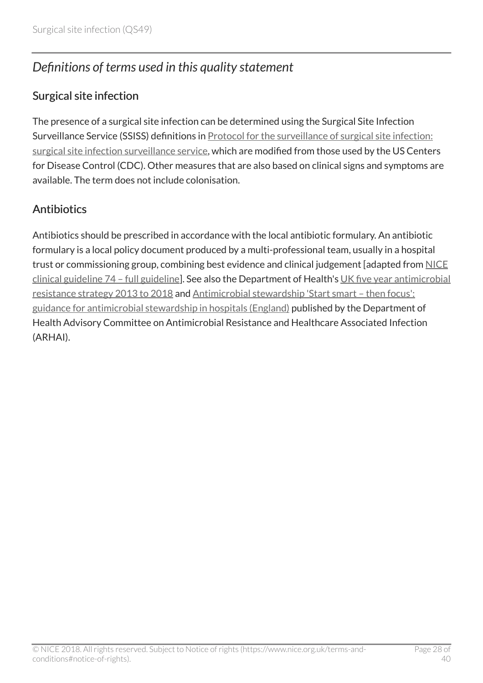# <span id="page-27-0"></span>*Definitions of terms used in this quality statement*

#### Surgical site infection

The presence of a surgical site infection can be determined using the Surgical Site Infection Surveillance Service (SSISS) definitions in **Protocol for the surveillance of surgical site infection**: [surgical site infection surveillance service,](http://www.hpa.org.uk/Topics/InfectiousDiseases/InfectionsAZ/SurgicalSiteInfection/SSISurveillanceProgramme/) which are modified from those used by the US Centers for Disease Control (CDC). Other measures that are also based on clinical signs and symptoms are available. The term does not include colonisation.

#### **Antibiotics**

Antibiotics should be prescribed in accordance with the local antibiotic formulary. An antibiotic formulary is a local policy document produced by a multi-professional team, usually in a hospital trust or commissioning group, combining best evidence and clinical judgement [adapted from [NICE](http://www.nice.org.uk/guidance/CG74/Evidence) [clinical guideline 74 – full guideline](http://www.nice.org.uk/guidance/CG74/Evidence)]. See also the Department of Health's [UK five year antimicrobial](https://www.gov.uk/government/publications/uk-5-year-antimicrobial-resistance-strategy-2013-to-2018) [resistance strategy 2013 to 2018](https://www.gov.uk/government/publications/uk-5-year-antimicrobial-resistance-strategy-2013-to-2018) and [Antimicrobial stewardship 'Start smart – then focus':](https://www.gov.uk/government/publications/antimicrobial-stewardship-start-smart-then-focus) [guidance for antimicrobial stewardship in hospitals \(England\)](https://www.gov.uk/government/publications/antimicrobial-stewardship-start-smart-then-focus) published by the Department of Health Advisory Committee on Antimicrobial Resistance and Healthcare Associated Infection (ARHAI).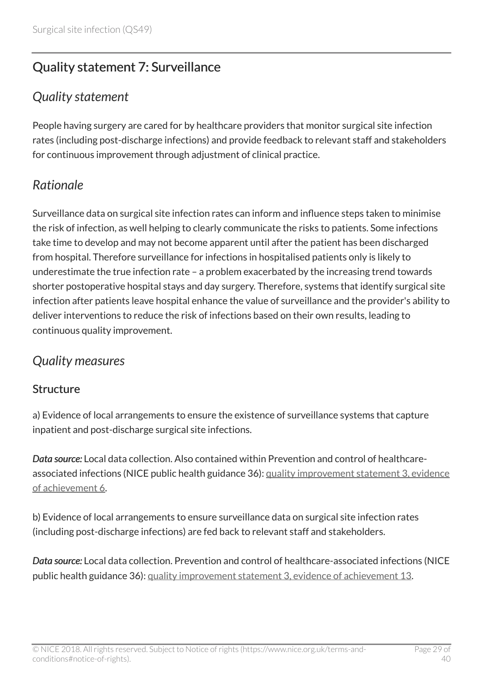# <span id="page-28-0"></span>Quality statement 7: Surveillance

### <span id="page-28-1"></span>*Quality statement*

People having surgery are cared for by healthcare providers that monitor surgical site infection rates (including post-discharge infections) and provide feedback to relevant staff and stakeholders for continuous improvement through adjustment of clinical practice.

# <span id="page-28-2"></span>*Rationale*

Surveillance data on surgical site infection rates can inform and influence steps taken to minimise the risk of infection, as well helping to clearly communicate the risks to patients. Some infections take time to develop and may not become apparent until after the patient has been discharged from hospital. Therefore surveillance for infections in hospitalised patients only is likely to underestimate the true infection rate – a problem exacerbated by the increasing trend towards shorter postoperative hospital stays and day surgery. Therefore, systems that identify surgical site infection after patients leave hospital enhance the value of surveillance and the provider's ability to deliver interventions to reduce the risk of infections based on their own results, leading to continuous quality improvement.

### <span id="page-28-3"></span>*Quality measures*

#### **Structure**

a) Evidence of local arrangements to ensure the existence of surveillance systems that capture inpatient and post-discharge surgical site infections.

*Data source:* Local data collection. Also contained within Prevention and control of healthcareassociated infections (NICE public health guidance 36): [quality improvement statement 3, evidence](https://www.nice.org.uk/guidance/ph36/chapter/quality-improvement-statement-3-hcai-surveillance) [of achievement 6](https://www.nice.org.uk/guidance/ph36/chapter/quality-improvement-statement-3-hcai-surveillance).

b) Evidence of local arrangements to ensure surveillance data on surgical site infection rates (including post-discharge infections) are fed back to relevant staff and stakeholders.

*Data source:* Local data collection. Prevention and control of healthcare-associated infections (NICE public health guidance 36): [quality improvement statement 3, evidence of achievement 13.](https://www.nice.org.uk/guidance/ph36/chapter/quality-improvement-statement-3-hcai-surveillance)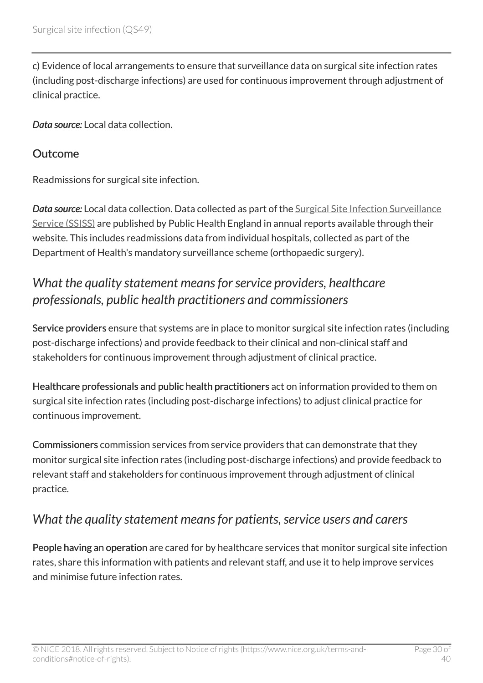c) Evidence of local arrangements to ensure that surveillance data on surgical site infection rates (including post-discharge infections) are used for continuous improvement through adjustment of clinical practice.

*Data source:* Local data collection.

#### **Outcome**

Readmissions for surgical site infection.

*Data source:* Local data collection. Data collected as part of the [Surgical Site Infection Surveillance](http://www.hpa.org.uk/Topics/InfectiousDiseases/InfectionsAZ/SurgicalSiteInfection/SSISurveillanceProgramme/) [Service \(SSISS\)](http://www.hpa.org.uk/Topics/InfectiousDiseases/InfectionsAZ/SurgicalSiteInfection/SSISurveillanceProgramme/) are published by Public Health England in annual reports available through their website. This includes readmissions data from individual hospitals, collected as part of the Department of Health's mandatory surveillance scheme (orthopaedic surgery).

### <span id="page-29-0"></span>*What the quality statement means for service providers, healthcare professionals, public health practitioners and commissioners*

Service providers ensure that systems are in place to monitor surgical site infection rates (including post-discharge infections) and provide feedback to their clinical and non-clinical staff and stakeholders for continuous improvement through adjustment of clinical practice.

Healthcare professionals and public health practitioners act on information provided to them on surgical site infection rates (including post-discharge infections) to adjust clinical practice for continuous improvement.

Commissioners commission services from service providers that can demonstrate that they monitor surgical site infection rates (including post-discharge infections) and provide feedback to relevant staff and stakeholders for continuous improvement through adjustment of clinical practice.

### <span id="page-29-1"></span>*What the quality statement means for patients, service users and carers*

People having an operation are cared for by healthcare services that monitor surgical site infection rates, share this information with patients and relevant staff, and use it to help improve services and minimise future infection rates.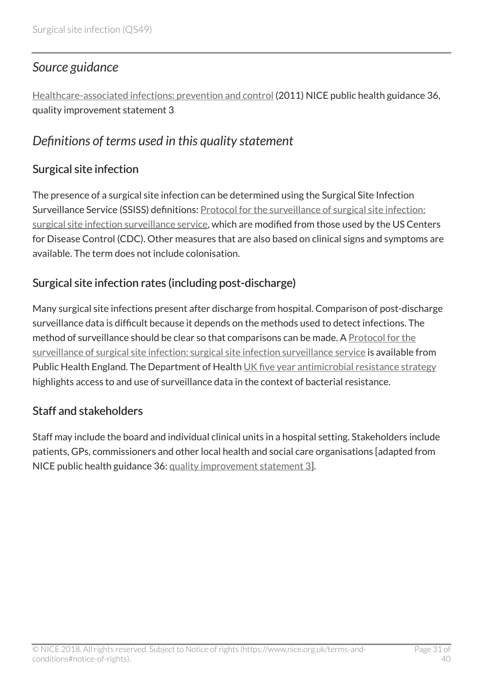### <span id="page-30-0"></span>*Source guidance*

[Healthcare-associated infections: prevention and control](http://www.nice.org.uk/guidance/ph36) (2011) NICE public health guidance 36, quality improvement statement 3

### <span id="page-30-1"></span>*Definitions of terms used in this quality statement*

#### Surgical site infection

The presence of a surgical site infection can be determined using the Surgical Site Infection Surveillance Service (SSISS) definitions: [Protocol for the surveillance of surgical site infection:](http://www.hpa.org.uk/Topics/InfectiousDiseases/InfectionsAZ/SurgicalSiteInfection/SSISurveillanceProgramme/) [surgical site infection surveillance service,](http://www.hpa.org.uk/Topics/InfectiousDiseases/InfectionsAZ/SurgicalSiteInfection/SSISurveillanceProgramme/) which are modified from those used by the US Centers for Disease Control (CDC). Other measures that are also based on clinical signs and symptoms are available. The term does not include colonisation.

#### Surgical site infection rates (including post-discharge)

Many surgical site infections present after discharge from hospital. Comparison of post-discharge surveillance data is difficult because it depends on the methods used to detect infections. The method of surveillance should be clear so that comparisons can be made. A [Protocol for the](http://www.hpa.org.uk/Topics/InfectiousDiseases/InfectionsAZ/SurgicalSiteInfection/SSISurveillanceProgramme/) [surveillance of surgical site infection: surgical site infection surveillance service](http://www.hpa.org.uk/Topics/InfectiousDiseases/InfectionsAZ/SurgicalSiteInfection/SSISurveillanceProgramme/) is available from Public Health England. The Department of Health [UK five year antimicrobial resistance strategy](https://www.gov.uk/government/publications/uk-5-year-antimicrobial-resistance-strategy-2013-to-2018) highlights access to and use of surveillance data in the context of bacterial resistance.

#### Staff and stakeholders

Staff may include the board and individual clinical units in a hospital setting. Stakeholders include patients, GPs, commissioners and other local health and social care organisations [adapted from NICE public health guidance 36: [quality improvement statement 3](https://www.nice.org.uk/guidance/ph36/chapter/Quality-improvement-statement-3-HCAI-surveillance)].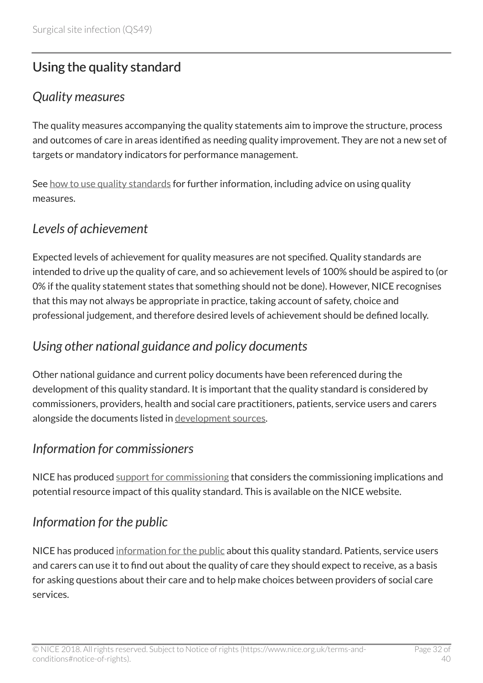# <span id="page-31-0"></span>Using the quality standard

### <span id="page-31-1"></span>*Quality measures*

The quality measures accompanying the quality statements aim to improve the structure, process and outcomes of care in areas identified as needing quality improvement. They are not a new set of targets or mandatory indicators for performance management.

See [how to use quality standards](https://www.nice.org.uk/standards-and-indicators/how-to-use-quality-standards) for further information, including advice on using quality measures.

### <span id="page-31-2"></span>*Levels of achievement*

Expected levels of achievement for quality measures are not specified. Quality standards are intended to drive up the quality of care, and so achievement levels of 100% should be aspired to (or 0% if the quality statement states that something should not be done). However, NICE recognises that this may not always be appropriate in practice, taking account of safety, choice and professional judgement, and therefore desired levels of achievement should be defined locally.

### <span id="page-31-3"></span>*Using other national guidance and policy documents*

Other national guidance and current policy documents have been referenced during the development of this quality standard. It is important that the quality standard is considered by commissioners, providers, health and social care practitioners, patients, service users and carers alongside the documents listed in [development sources](http://live-publications.nice.org.uk/development-sources#development-sources).

### <span id="page-31-4"></span>*Information for commissioners*

NICE has produced [support for commissioning](http://www.nice.org.uk/guidance/QS49/Resources) that considers the commissioning implications and potential resource impact of this quality standard. This is available on the NICE website.

### <span id="page-31-5"></span>*Information for the public*

NICE has produced [information for the public](http://www.nice.org.uk/guidance/QS49/Informationforpublic) about this quality standard. Patients, service users and carers can use it to find out about the quality of care they should expect to receive, as a basis for asking questions about their care and to help make choices between providers of social care services.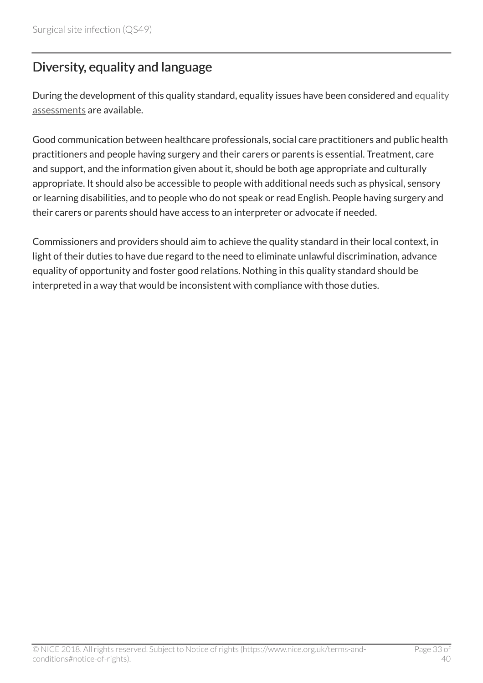# <span id="page-32-0"></span>Diversity, equality and language

During the development of this quality standard, [equality](http://www.nice.org.uk/guidance/QS49/Documents) issues have been considered and equality [assessments](http://www.nice.org.uk/guidance/QS49/Documents) are available.

Good communication between healthcare professionals, social care practitioners and public health practitioners and people having surgery and their carers or parents is essential. Treatment, care and support, and the information given about it, should be both age appropriate and culturally appropriate. It should also be accessible to people with additional needs such as physical, sensory or learning disabilities, and to people who do not speak or read English. People having surgery and their carers or parents should have access to an interpreter or advocate if needed.

Commissioners and providers should aim to achieve the quality standard in their local context, in light of their duties to have due regard to the need to eliminate unlawful discrimination, advance equality of opportunity and foster good relations. Nothing in this quality standard should be interpreted in a way that would be inconsistent with compliance with those duties.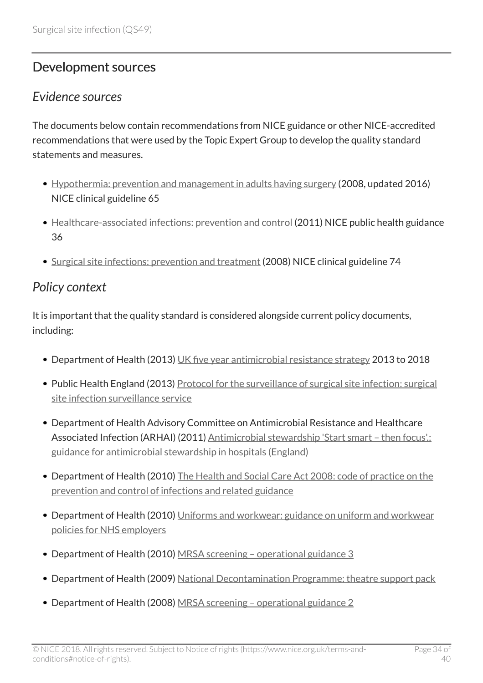# <span id="page-33-0"></span>Development sources

### <span id="page-33-1"></span>*Evidence sources*

The documents below contain recommendations from NICE guidance or other NICE-accredited recommendations that were used by the Topic Expert Group to develop the quality standard statements and measures.

- [Hypothermia: prevention and management in adults having surgery](http://www.nice.org.uk/guidance/cg65) (2008, updated 2016) NICE clinical guideline 65
- [Healthcare-associated infections: prevention and control](http://www.nice.org.uk/guidance/ph36) (2011) NICE public health guidance 36
- [Surgical site infections: prevention and treatment](http://www.nice.org.uk/guidance/cg74) (2008) NICE clinical guideline 74

### <span id="page-33-2"></span>*Policy context*

It is important that the quality standard is considered alongside current policy documents, including:

- Department of Health (2013) [UK five year antimicrobial resistance strategy](https://www.gov.uk/government/publications/uk-5-year-antimicrobial-resistance-strategy-2013-to-2018) 2013 to 2018
- Public Health England (2013) [Protocol for the surveillance of surgical site infection: surgical](http://www.hpa.org.uk/Topics/InfectiousDiseases/InfectionsAZ/SurgicalSiteInfection/SSISurveillanceProgramme/) [site infection surveillance service](http://www.hpa.org.uk/Topics/InfectiousDiseases/InfectionsAZ/SurgicalSiteInfection/SSISurveillanceProgramme/)
- Department of Health Advisory Committee on Antimicrobial Resistance and Healthcare Associated Infection (ARHAI) (2011) Antimicrobial stewardship 'Start smart - then focus'.: [guidance for antimicrobial stewardship in hospitals \(England\)](https://www.gov.uk/government/publications/antimicrobial-stewardship-start-smart-then-focus)
- Department of Health (2010) [The Health and Social Care Act 2008: code of practice on the](http://www.dh.gov.uk/en/Publicationsandstatistics/Publications/PublicationsPolicyAndGuidance/DH_122604) [prevention and control of infections and related guidance](http://www.dh.gov.uk/en/Publicationsandstatistics/Publications/PublicationsPolicyAndGuidance/DH_122604)
- Department of Health (2010) [Uniforms and workwear: guidance on uniform and workwear](http://webarchive.nationalarchives.gov.uk/+/www.dh.gov.uk/en/publicationsandstatistics/publications/publicationspolicyandguidance/DH_114751) [policies for NHS employers](http://webarchive.nationalarchives.gov.uk/+/www.dh.gov.uk/en/publicationsandstatistics/publications/publicationspolicyandguidance/DH_114751)
- Department of Health (2010) MRSA screening operational guidance 3
- Department of Health (2009) [National Decontamination Programme: theatre support pack](http://webarchive.nationalarchives.gov.uk/20130107105354/http:/www.dh.gov.uk/en/Publicationsandstatistics/Publications/PublicationsPolicyAndGuidance/DH_096890)
- Department of Health (2008) [MRSA screening operational guidance 2](http://webarchive.nationalarchives.gov.uk/20130107105354/http:/www.dh.gov.uk/en/Publicationsandstatistics/Lettersandcirculars/Dearcolleagueletters/DH_092844)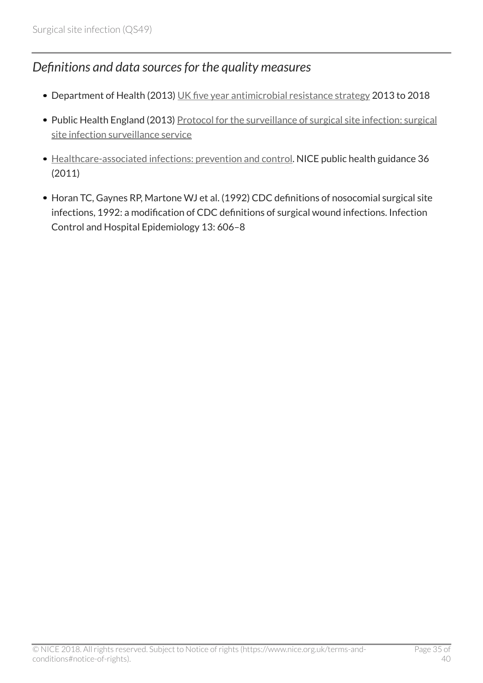### <span id="page-34-0"></span>*Definitions and data sources for the quality measures*

- Department of Health (2013) [UK five year antimicrobial resistance strategy](https://www.gov.uk/government/publications/uk-5-year-antimicrobial-resistance-strategy-2013-to-2018) 2013 to 2018
- Public Health England (2013) [Protocol for the surveillance of surgical site infection: surgical](http://www.hpa.org.uk/Topics/InfectiousDiseases/InfectionsAZ/SurgicalSiteInfection/SSISurveillanceProgramme/) [site infection surveillance service](http://www.hpa.org.uk/Topics/InfectiousDiseases/InfectionsAZ/SurgicalSiteInfection/SSISurveillanceProgramme/)
- [Healthcare-associated infections: prevention and control](http://www.nice.org.uk/guidance/ph36). NICE public health guidance 36 (2011)
- Horan TC, Gaynes RP, Martone WJ et al. (1992) CDC definitions of nosocomial surgical site infections, 1992: a modification of CDC definitions of surgical wound infections. Infection Control and Hospital Epidemiology 13: 606–8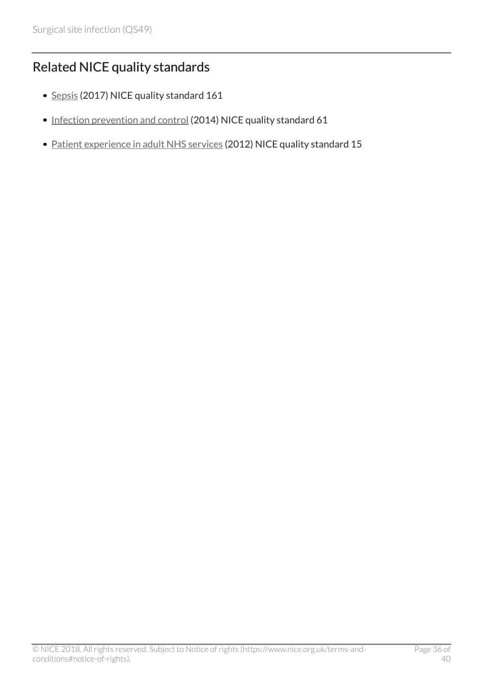# <span id="page-35-0"></span>Related NICE quality standards

- [Sepsis](http://www.nice.org.uk/guidance/qs161) (2017) NICE quality standard 161
- [Infection prevention and control](http://www.nice.org.uk/guidance/qs61) (2014) NICE quality standard 61
- [Patient experience in adult NHS services](http://www.nice.org.uk/guidance/qs15) (2012) NICE quality standard 15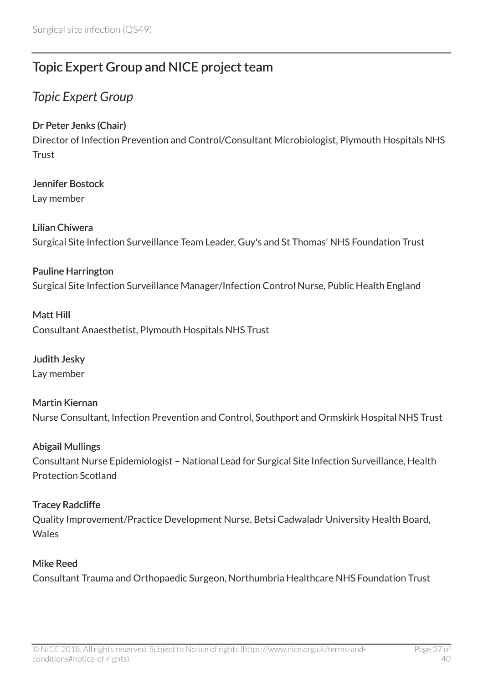# <span id="page-36-0"></span>Topic Expert Group and NICE project team

### <span id="page-36-1"></span>*Topic Expert Group*

#### Dr Peter Jenks (Chair)

Director of Infection Prevention and Control/Consultant Microbiologist, Plymouth Hospitals NHS **Trust** 

### Jennifer Bostock

Lay member

Lilian Chiwera Surgical Site Infection Surveillance Team Leader, Guy's and St Thomas' NHS Foundation Trust

### Pauline Harrington Surgical Site Infection Surveillance Manager/Infection Control Nurse, Public Health England

#### Matt Hill Consultant Anaesthetist, Plymouth Hospitals NHS Trust

Judith Jesky Lay member

#### Martin Kiernan Nurse Consultant, Infection Prevention and Control, Southport and Ormskirk Hospital NHS Trust

#### Abigail Mullings

Consultant Nurse Epidemiologist – National Lead for Surgical Site Infection Surveillance, Health Protection Scotland

#### Tracey Radcliffe

Quality Improvement/Practice Development Nurse, Betsi Cadwaladr University Health Board, **Wales** 

#### Mike Reed

Consultant Trauma and Orthopaedic Surgeon, Northumbria Healthcare NHS Foundation Trust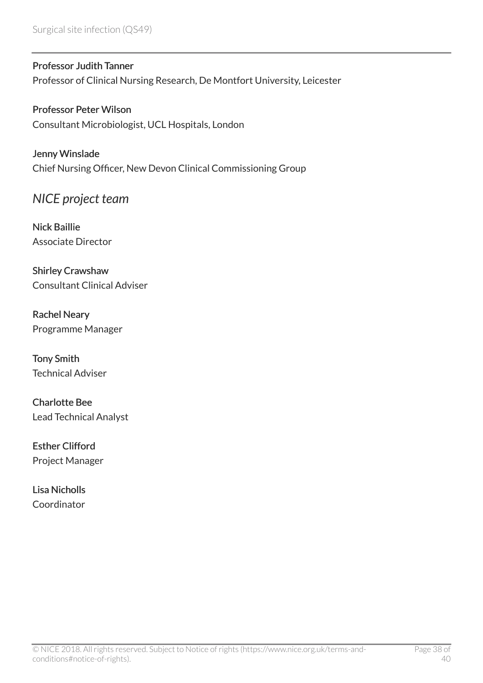Surgical site infection (QS49)

Professor Judith Tanner Professor of Clinical Nursing Research, De Montfort University, Leicester

Professor Peter Wilson Consultant Microbiologist, UCL Hospitals, London

Jenny Winslade Chief Nursing Officer, New Devon Clinical Commissioning Group

<span id="page-37-0"></span>*NICE project team*

Nick Baillie Associate Director

Shirley Crawshaw Consultant Clinical Adviser

Rachel Neary Programme Manager

Tony Smith Technical Adviser

Charlotte Bee Lead Technical Analyst

Esther Clifford Project Manager

Lisa Nicholls Coordinator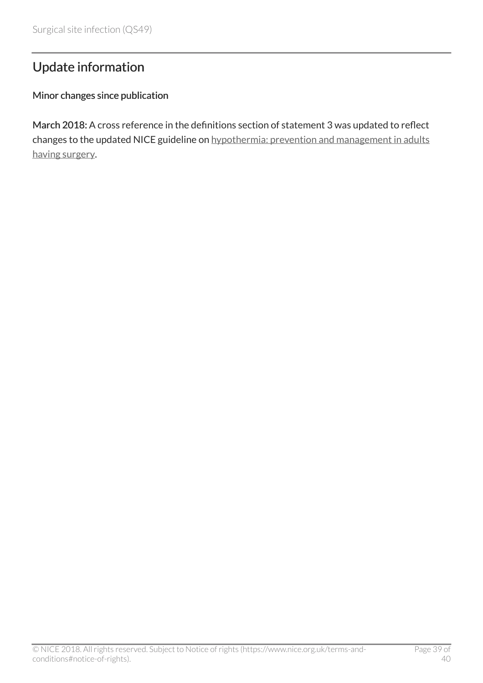# <span id="page-38-0"></span>Update information

#### Minor changes since publication

March 2018: A cross reference in the definitions section of statement 3 was updated to reflect changes to the updated NICE guideline on [hypothermia: prevention and management in adults](http://www.nice.org.uk/guidance/cg65) [having surgery](http://www.nice.org.uk/guidance/cg65).